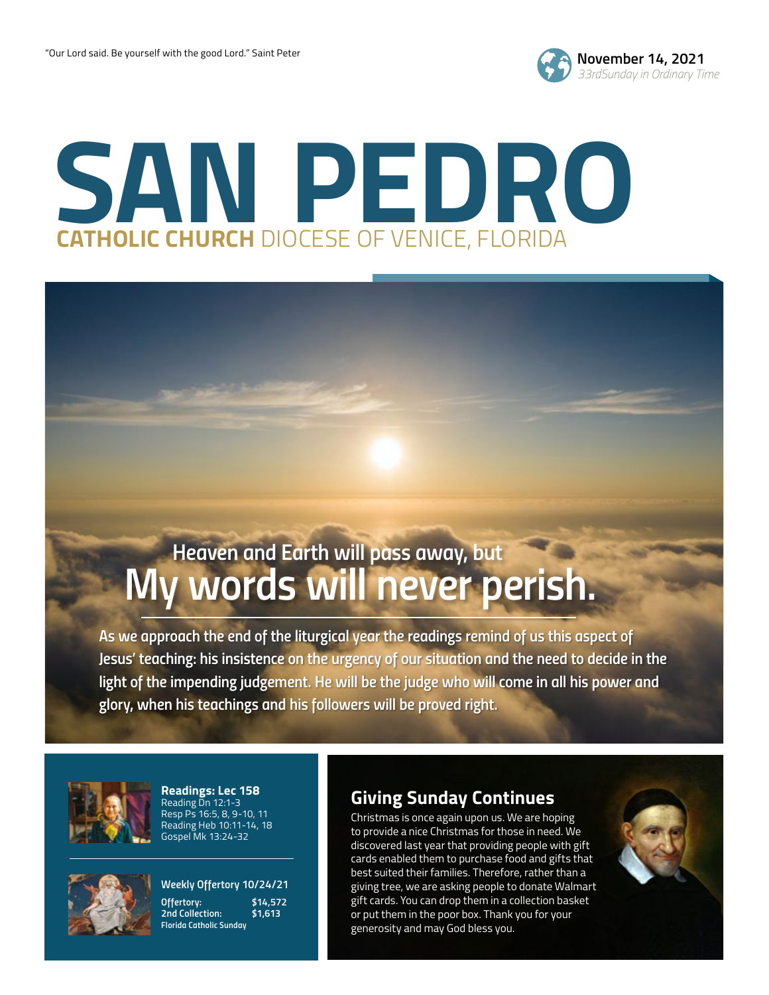

## **SAN PEDRO CATHOLIC CHURCH** DIOCESE OF VENICE, FLORIDA

### *My words will never perish. Heaven and Earth will pass away, but*

*As we approach the end of the liturgical year the readings remind of us this aspect of Jesus' teaching: his insistence on the urgency of our situation and the need to decide in the*  light of the impending judgement. He will be the judge who will come in all his power and *glory, when his teachings and his followers will be proved right.*



**Readings: Lec 158** Reading Dn 12:1-3 Resp Ps 16:5, 8, 9-10, 11 Reading Heb 10:11-14, 18 Gospel Mk 13:24-32



*Weekly Offertory 10/24/21 Offertory: \$14,572*

*2nd Collection: \$1,613 Florida Catholic Sunday*

### **Giving Sunday Continues**

Christmas is once again upon us. We are hoping to provide a nice Christmas for those in need. We discovered last year that providing people with gift cards enabled them to purchase food and gifts that best suited their families. Therefore, rather than a giving tree, we are asking people to donate Walmart gift cards. You can drop them in a collection basket or put them in the poor box. Thank you for your generosity and may God bless you.

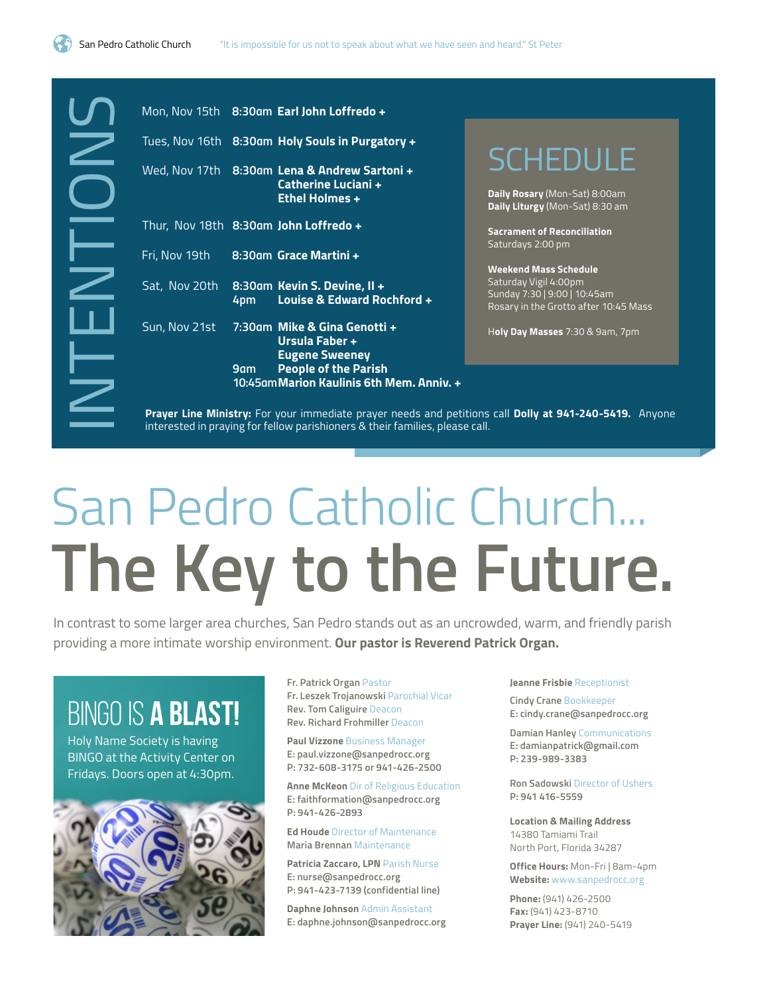

|                          |     | Mon, Nov 15th 8:30am Earl John Loffredo +                                                                                                       |  |
|--------------------------|-----|-------------------------------------------------------------------------------------------------------------------------------------------------|--|
| Tues, Nov 16th           |     | 8:30am Holy Souls in Purgatory +                                                                                                                |  |
| Wed, Nov 17th            |     | 8:30am Lena & Andrew Sartoni +<br>Catherine Luciani +<br><b>Ethel Holmes +</b>                                                                  |  |
|                          |     | Thur, Nov 18th 8:30am John Loffredo +                                                                                                           |  |
| Fri, Nov 19th            |     | 8:30am Grace Martini +                                                                                                                          |  |
| Sat, Nov 20th            | 4pm | 8:30am Kevin S. Devine, II +<br>Louise & Edward Rochford +                                                                                      |  |
| Sun, Nov 21st            |     | 7:30am Mike & Gina Genotti +<br>Ursula Faber +                                                                                                  |  |
|                          | 9am | <b>Eugene Sweeney</b><br><b>People of the Parish</b><br>10:45am Marion Kaulinis 6th Mem. Anniy. +                                               |  |
|                          |     | Prayer Line Ministry: For your immediate prayer needs and petition<br>interested in praying for fellow parishioners & their families, please ca |  |
|                          |     |                                                                                                                                                 |  |
|                          |     |                                                                                                                                                 |  |
|                          |     | San Pedro Catholic (                                                                                                                            |  |
|                          |     | The Key to the                                                                                                                                  |  |
|                          |     | contrast to some larger area churches, San Pedro stands out as an uncr                                                                          |  |
|                          |     | oviding a more intimate worship environment. <b>Our pastor is Reverend P</b>                                                                    |  |
| BINGO IS <b>A BLAST!</b> |     | Fr. Patrick Organ Pastor<br>Fr. Leszek Trojanowski Parochial Vicar<br>Rev. Tom Caliguire Deacon<br><b>Rev. Richard Frohmiller Deacon</b>        |  |

**SCHEDULE** 

**Daily Rosary** (Mon-Sat) 8:00am **Daily Liturgy** (Mon-Sat) 8:30 am

**Sacrament of Reconciliation** Saturdays 2:00 pm

**Weekend Mass Schedule** Saturday Vigil 4:00pm Sunday 7:30 | 9:00 | 10:45am Rosary in the Grotto after 10:45 Mass

H**oly Day Masses** 7:30 & 9am, 7pm

**Prayer Line Ministry:** For your immediate prayer needs and petitions call **Dolly at 941-240-5419.** Anyone interested in praying for fellow parishioners & their families, please call.

# San Pedro Catholic Church... **The Key to the Future.**

In contrast to some larger area churches, San Pedro stands out as an uncrowded, warm, and friendly parish providing a more intimate worship environment. **Our pastor is Reverend Patrick Organ.** 

### BINGO IS A BLAST!



**Anne McKeon** Dir of Religious Education **E: faithformation@sanpedrocc.org P: 941-426-2893**

**Ed Houde** Director of Maintenance **Maria Brennan** Maintenance

**Patricia Zaccaro, LPN** Parish Nurse **E: nurse@sanpedrocc.org P: 941-423-7139 (confidential line)**

**Daphne Johnson** Admin Assistant **E: daphne.johnson@sanpedrocc.org** **Jeanne Frisbie** Receptionist

**Cindy Crane** Bookkeeper **E: cindy.crane@sanpedrocc.org**

**Damian Hanley** Communications **E: damianpatrick@gmail.com P: 239-989-3383**

**Ron Sadowski** Director of Ushers **P: 941 416-5559**

**Location & Mailing Address** 14380 Tamiami Trail North Port, Florida 34287

**Office Hours:** Mon-Fri | 8am-4pm **Website:** www.sanpedrocc.org

**Phone:** (941) 426-2500 **Fax:** (941) 423-8710 **Prayer Line:** (941) 240-5419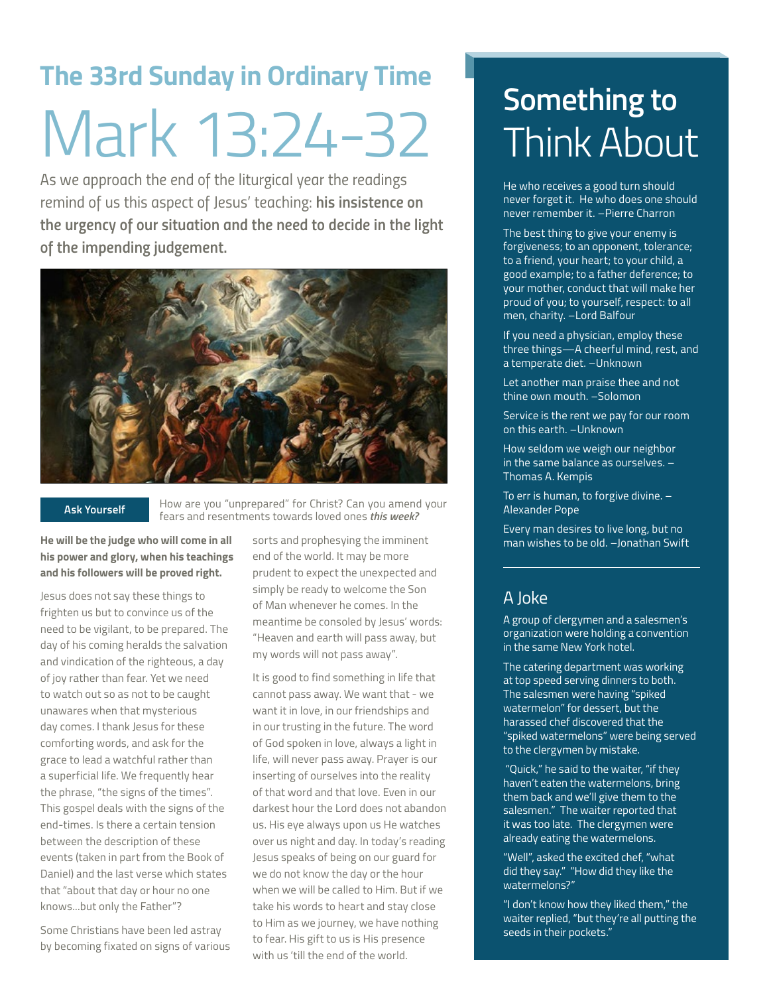## **The 33rd Sunday in Ordinary Time** Mark 13:24-32

*As we approach the end of the liturgical year the readings remind of us this aspect of Jesus' teaching: his insistence on the urgency of our situation and the need to decide in the light of the impending judgement.*



#### **Ask Yourself**

How are you "unprepared" for Christ? Can you amend your fears and resentments towards loved ones *this week?*

**He will be the judge who will come in all his power and glory, when his teachings and his followers will be proved right.**

Jesus does not say these things to frighten us but to convince us of the need to be vigilant, to be prepared. The day of his coming heralds the salvation and vindication of the righteous, a day of joy rather than fear. Yet we need to watch out so as not to be caught unawares when that mysterious day comes. I thank Jesus for these comforting words, and ask for the grace to lead a watchful rather than a superficial life. We frequently hear the phrase, "the signs of the times". This gospel deals with the signs of the end-times. Is there a certain tension between the description of these events (taken in part from the Book of Daniel) and the last verse which states that "about that day or hour no one knows...but only the Father"?

Some Christians have been led astray by becoming fixated on signs of various sorts and prophesying the imminent end of the world. It may be more prudent to expect the unexpected and simply be ready to welcome the Son of Man whenever he comes. In the meantime be consoled by Jesus' words: "Heaven and earth will pass away, but my words will not pass away".

It is good to find something in life that cannot pass away. We want that - we want it in love, in our friendships and in our trusting in the future. The word of God spoken in love, always a light in life, will never pass away. Prayer is our inserting of ourselves into the reality of that word and that love. Even in our darkest hour the Lord does not abandon us. His eye always upon us He watches over us night and day. In today's reading Jesus speaks of being on our guard for we do not know the day or the hour when we will be called to Him. But if we take his words to heart and stay close to Him as we journey, we have nothing to fear. His gift to us is His presence with us 'till the end of the world.

## **Something to** Think About

He who receives a good turn should never forget it. He who does one should never remember it. –Pierre Charron

The best thing to give your enemy is forgiveness; to an opponent, tolerance; to a friend, your heart; to your child, a good example; to a father deference; to your mother, conduct that will make her proud of you; to yourself, respect: to all men, charity. –Lord Balfour

If you need a physician, employ these three things—A cheerful mind, rest, and a temperate diet. –Unknown

Let another man praise thee and not thine own mouth. –Solomon

Service is the rent we pay for our room on this earth. –Unknown

How seldom we weigh our neighbor in the same balance as ourselves. – Thomas A. Kempis

To err is human, to forgive divine. – Alexander Pope

Every man desires to live long, but no man wishes to be old. –Jonathan Swift

### A Joke

A group of clergymen and a salesmen's organization were holding a convention in the same New York hotel.

The catering department was working at top speed serving dinners to both. The salesmen were having "spiked watermelon" for dessert, but the harassed chef discovered that the "spiked watermelons" were being served to the clergymen by mistake.

 "Quick," he said to the waiter, "if they haven't eaten the watermelons, bring them back and we'll give them to the salesmen." The waiter reported that it was too late. The clergymen were already eating the watermelons.

"Well", asked the excited chef, "what did they say." "How did they like the watermelons?"

"I don't know how they liked them," the waiter replied, "but they're all putting the seeds in their pockets."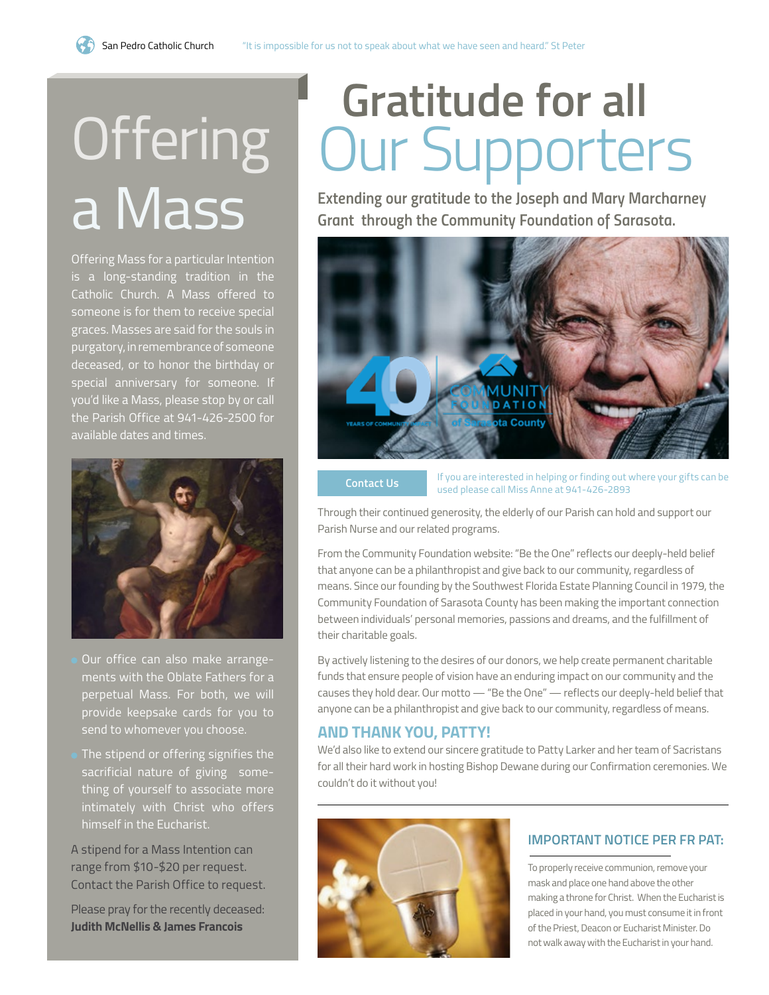# **Offering** a Mass

Offering Mass for a particular Intention is a long-standing tradition in the Catholic Church. A Mass offered to someone is for them to receive special graces. Masses are said for the souls in purgatory, in remembrance of someone deceased, or to honor the birthday or special anniversary for someone. If you'd like a Mass, please stop by or call the Parish Office at 941-426-2500 for available dates and times.



- Our office can also make arrangements with the Oblate Fathers for a perpetual Mass. For both, we will provide keepsake cards for you to send to whomever you choose.
- The stipend or offering signifies the sacrificial nature of giving something of yourself to associate more intimately with Christ who offers himself in the Eucharist.

A stipend for a Mass Intention can range from \$10-\$20 per request. Contact the Parish Office to request.

Please pray for the recently deceased: **Judith McNellis & James Francois**

## **Gratitude for all**  Our Supporters

*Extending our gratitude to the Joseph and Mary Marcharney Grant through the Community Foundation of Sarasota.* 



If you are interested in helping or finding out where your gifts can be used please call Miss Anne at 941-426-2893 **Contact Us**

Through their continued generosity, the elderly of our Parish can hold and support our Parish Nurse and our related programs.

From the Community Foundation website: "Be the One" reflects our deeply-held belief that anyone can be a philanthropist and give back to our community, regardless of means. Since our founding by the Southwest Florida Estate Planning Council in 1979, the Community Foundation of Sarasota County has been making the important connection between individuals' personal memories, passions and dreams, and the fulfillment of their charitable goals.

By actively listening to the desires of our donors, we help create permanent charitable funds that ensure people of vision have an enduring impact on our community and the causes they hold dear. Our motto — "Be the One" — reflects our deeply-held belief that anyone can be a philanthropist and give back to our community, regardless of means.

### **AND THANK YOU, PATTY!**

We'd also like to extend our sincere gratitude to Patty Larker and her team of Sacristans for all their hard work in hosting Bishop Dewane during our Confirmation ceremonies. We couldn't do it without you!



### **IMPORTANT NOTICE PER FR PAT:**

To properly receive communion, remove your mask and place one hand above the other making a throne for Christ. When the Eucharist is placed in your hand, you must consume it in front of the Priest, Deacon or Eucharist Minister. Do not walk away with the Eucharist in your hand.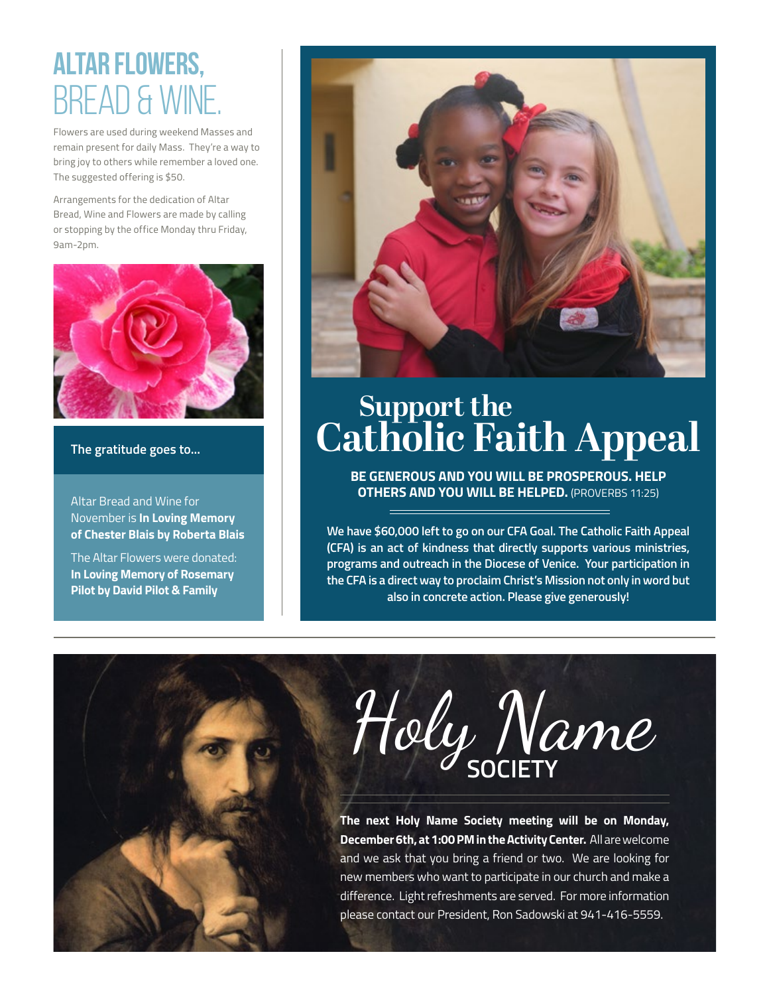## altar flowers, BREAD & WI

Flowers are used during weekend Masses and remain present for daily Mass. They're a way to bring joy to others while remember a loved one. The suggested offering is \$50.

Arrangements for the dedication of Altar Bread, Wine and Flowers are made by calling or stopping by the office Monday thru Friday, 9am-2pm.



#### **The gratitude goes to...**

Altar Bread and Wine for November is **In Loving Memory of Chester Blais by Roberta Blais**

The Altar Flowers were donated: **In Loving Memory of Rosemary Pilot by David Pilot & Family**



### **Support the Catholic Faith Appeal**

**BE GENEROUS AND YOU WILL BE PROSPEROUS. HELP OTHERS AND YOU WILL BE HELPED.** (PROVERBS 11:25)

**We have \$60,000 left to go on our CFA Goal. The Catholic Faith Appeal (CFA) is an act of kindness that directly supports various ministries, programs and outreach in the Diocese of Venice. Your participation in the CFA is a direct way to proclaim Christ's Mission not only in word but also in concrete action. Please give generously!**

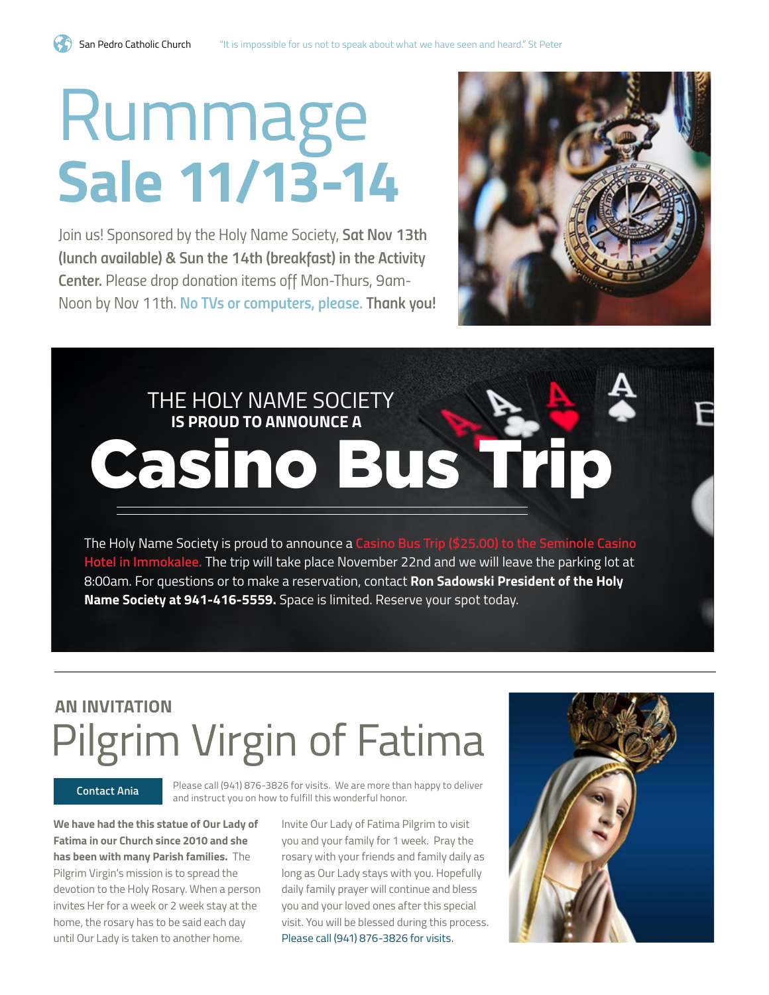# Rummage **Sale 11/13-14**

*Join us! Sponsored by the Holy Name Society, Sat Nov 13th (lunch available) & Sun the 14th (breakfast) in the Activity Center. Please drop donation items off Mon-Thurs, 9am-Noon by Nov 11th. No TVs or computers, please. Thank you!*



## THE HOLY NAME SOCIETY  **IS PROUD TO ANNOUNCE A** Casino Bus Trip

The Holy Name Society is proud to announce a **Casino Bus Trip (\$25.00) to the Seminole Casino Hotel in Immokalee.** The trip will take place November 22nd and we will leave the parking lot at 8:00am. For questions or to make a reservation, contact **Ron Sadowski President of the Holy Name Society at 941-416-5559.** Space is limited. Reserve your spot today.

### **AN INVITATION** Pilgrim Virgin of Fatima

Please call (941) 876-3826 for visits. We are more than happy to deliver and instruct you on how to fulfill this wonderful honor. **Contact Ania**

**We have had the this statue of Our Lady of Fatima in our Church since 2010 and she has been with many Parish families.** The Pilgrim Virgin's mission is to spread the devotion to the Holy Rosary. When a person invites Her for a week or 2 week stay at the home, the rosary has to be said each day until Our Lady is taken to another home.

Invite Our Lady of Fatima Pilgrim to visit you and your family for 1 week. Pray the rosary with your friends and family daily as long as Our Lady stays with you. Hopefully daily family prayer will continue and bless you and your loved ones after this special visit. You will be blessed during this process. Please call (941) 876-3826 for visits.